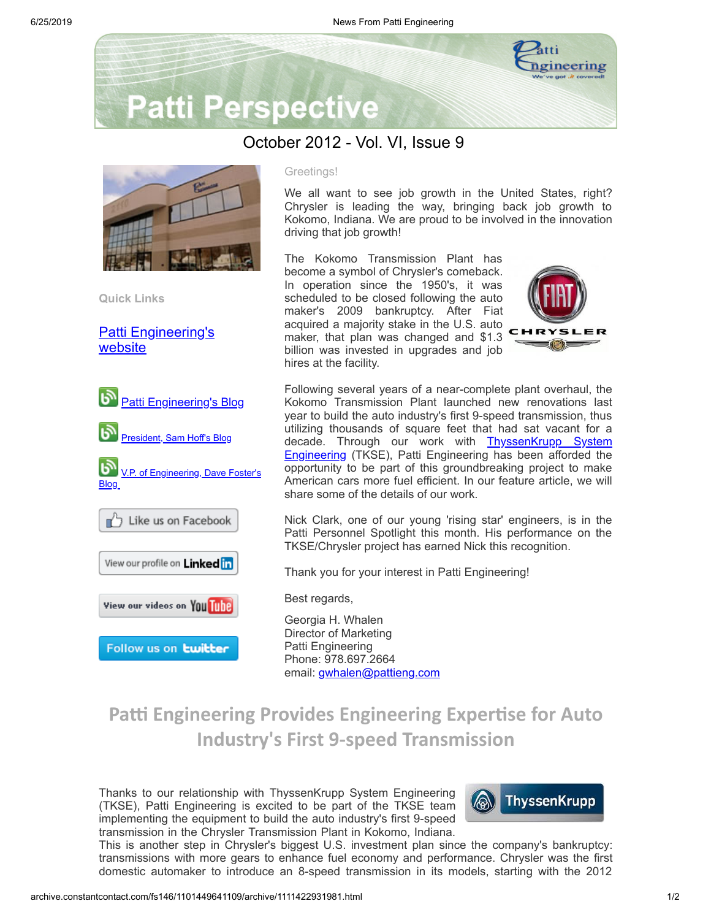

# **Patti Perspective**

### October 2012 - Vol. VI, Issue 9



**Quick Links**

[Patti Engineering's](http://www.pattieng.com/?utm_source=Patti+Perspective+10_2012_update&utm_campaign=Patti+Perspective+10_12_update&utm_medium=archive) website



#### Greetings!

We all want to see job growth in the United States, right? Chrysler is leading the way, bringing back job growth to Kokomo, Indiana. We are proud to be involved in the innovation driving that job growth!

The Kokomo Transmission Plant has become a symbol of Chrysler's comeback. In operation since the 1950's, it was scheduled to be closed following the auto maker's 2009 bankruptcy. After Fiat acquired a majority stake in the U.S. auto maker, that plan was changed and \$1.3 billion was invested in upgrades and job hires at the facility.



Following several years of a near-complete plant overhaul, the Kokomo Transmission Plant launched new renovations last year to build the auto industry's first 9-speed transmission, thus utilizing thousands of square feet that had sat vacant for a decade. Through our work with **[ThyssenKrupp](http://new.masteredit.com/thyssen/en/Homepage-31.html?utm_source=Patti+Perspective+10_2012_update&utm_campaign=Patti+Perspective+10_12_update&utm_medium=archive) System Engineering** (TKSE), Patti Engineering has been afforded the opportunity to be part of this groundbreaking project to make American cars more fuel efficient. In our feature article, we will share some of the details of our work.

Nick Clark, one of our young 'rising star' engineers, is in the Patti Personnel Spotlight this month. His performance on the TKSE/Chrysler project has earned Nick this recognition.

Thank you for your interest in Patti Engineering!

Best regards,

Georgia H. Whalen Director of Marketing Patti Engineering Phone: 978.697.2664 email: [gwhalen@pattieng.com](mailto:gwhalen@pattieng.com)

## **Patti Engineering Provides Engineering Expertise for Auto Industry's First 9-speed Transmission**

Thanks to our relationship with ThyssenKrupp System Engineering (TKSE), Patti Engineering is excited to be part of the TKSE team implementing the equipment to build the auto industry's first 9-speed transmission in the Chrysler Transmission Plant in Kokomo, Indiana.



This is another step in Chrysler's biggest U.S. investment plan since the company's bankruptcy: transmissions with more gears to enhance fuel economy and performance. Chrysler was the first domestic automaker to introduce an 8-speed transmission in its models, starting with the 2012